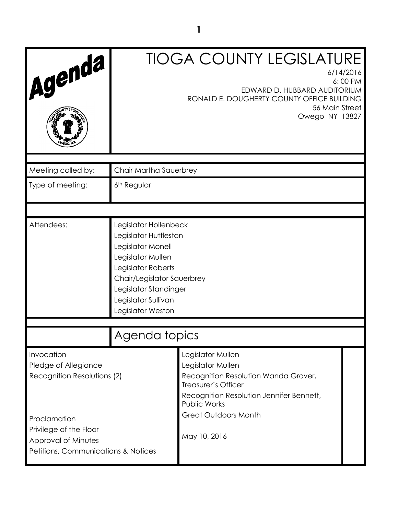| Agenda                                                                                               |                                                                                                                                                                                                                   | <b>TIOGA COUNTY LEGISLATURE</b><br>6/14/2016<br>6:00 PM<br>EDWARD D. HUBBARD AUDITORIUM<br>RONALD E. DOUGHERTY COUNTY OFFICE BUILDING<br>56 Main Street<br>Owego NY 13827                        |
|------------------------------------------------------------------------------------------------------|-------------------------------------------------------------------------------------------------------------------------------------------------------------------------------------------------------------------|--------------------------------------------------------------------------------------------------------------------------------------------------------------------------------------------------|
| Meeting called by:                                                                                   | Chair Martha Sauerbrey                                                                                                                                                                                            |                                                                                                                                                                                                  |
| Type of meeting:                                                                                     | 6 <sup>th</sup> Regular                                                                                                                                                                                           |                                                                                                                                                                                                  |
|                                                                                                      |                                                                                                                                                                                                                   |                                                                                                                                                                                                  |
| Attendees:                                                                                           | Legislator Hollenbeck<br>Legislator Huttleston<br>Legislator Monell<br>Legislator Mullen<br>Legislator Roberts<br>Chair/Legislator Sauerbrey<br>Legislator Standinger<br>Legislator Sullivan<br>Legislator Weston |                                                                                                                                                                                                  |
|                                                                                                      | Agenda topics                                                                                                                                                                                                     |                                                                                                                                                                                                  |
| Invocation<br>Pledge of Allegiance<br>Recognition Resolutions (2)                                    |                                                                                                                                                                                                                   | Legislator Mullen<br>Legislator Mullen<br>Recognition Resolution Wanda Grover,<br>Treasurer's Officer<br>Recognition Resolution Jennifer Bennett,<br>Public Works<br><b>Great Outdoors Month</b> |
| Proclamation<br>Privilege of the Floor<br>Approval of Minutes<br>Petitions, Communications & Notices |                                                                                                                                                                                                                   | May 10, 2016                                                                                                                                                                                     |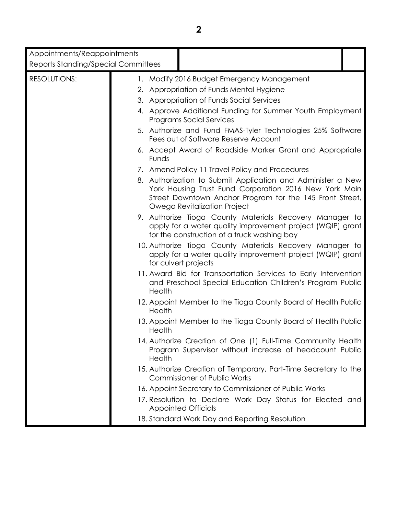| Appointments/Reappointments                |                                                                                                                                                                                                                   |
|--------------------------------------------|-------------------------------------------------------------------------------------------------------------------------------------------------------------------------------------------------------------------|
| <b>Reports Standing/Special Committees</b> |                                                                                                                                                                                                                   |
| <b>RESOLUTIONS:</b>                        | 1. Modify 2016 Budget Emergency Management                                                                                                                                                                        |
|                                            | 2. Appropriation of Funds Mental Hygiene                                                                                                                                                                          |
|                                            | 3. Appropriation of Funds Social Services                                                                                                                                                                         |
|                                            | 4. Approve Additional Funding for Summer Youth Employment<br><b>Programs Social Services</b>                                                                                                                      |
|                                            | 5. Authorize and Fund FMAS-Tyler Technologies 25% Software<br>Fees out of Software Reserve Account                                                                                                                |
|                                            | 6. Accept Award of Roadside Marker Grant and Appropriate<br>Funds                                                                                                                                                 |
|                                            | 7. Amend Policy 11 Travel Policy and Procedures                                                                                                                                                                   |
|                                            | 8. Authorization to Submit Application and Administer a New<br>York Housing Trust Fund Corporation 2016 New York Main<br>Street Downtown Anchor Program for the 145 Front Street,<br>Owego Revitalization Project |
|                                            | 9. Authorize Tioga County Materials Recovery Manager to<br>apply for a water quality improvement project (WQIP) grant<br>for the construction of a truck washing bay                                              |
|                                            | 10. Authorize Tioga County Materials Recovery Manager to<br>apply for a water quality improvement project (WQIP) grant<br>for culvert projects                                                                    |
|                                            | 11. Award Bid for Transportation Services to Early Intervention<br>and Preschool Special Education Children's Program Public<br>Health                                                                            |
|                                            | 12. Appoint Member to the Tioga County Board of Health Public<br>Health                                                                                                                                           |
|                                            | 13. Appoint Member to the Tioga County Board of Health Public<br>Health                                                                                                                                           |
|                                            | 14. Authorize Creation of One (1) Full-Time Community Health<br>Program Supervisor without increase of headcount Public<br>Health                                                                                 |
|                                            | 15. Authorize Creation of Temporary, Part-Time Secretary to the<br><b>Commissioner of Public Works</b>                                                                                                            |
|                                            | 16. Appoint Secretary to Commissioner of Public Works                                                                                                                                                             |
|                                            | 17. Resolution to Declare Work Day Status for Elected and<br><b>Appointed Officials</b>                                                                                                                           |
|                                            | 18. Standard Work Day and Reporting Resolution                                                                                                                                                                    |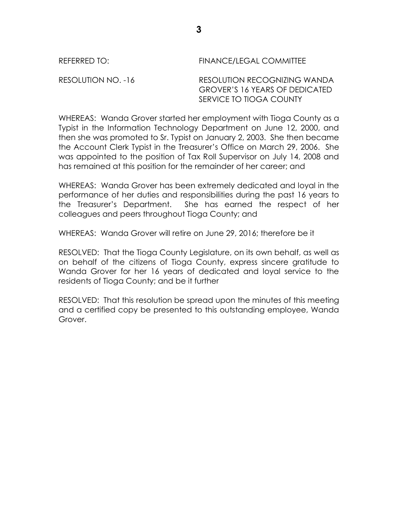#### REFERRED TO: FINANCE/LEGAL COMMITTEE

#### RESOLUTION NO. -16 RESOLUTION RECOGNIZING WANDA GROVER'S 16 YEARS OF DEDICATED SERVICE TO TIOGA COUNTY

WHEREAS: Wanda Grover started her employment with Tioga County as a Typist in the Information Technology Department on June 12, 2000, and then she was promoted to Sr. Typist on January 2, 2003. She then became the Account Clerk Typist in the Treasurer's Office on March 29, 2006. She was appointed to the position of Tax Roll Supervisor on July 14, 2008 and has remained at this position for the remainder of her career; and

WHEREAS: Wanda Grover has been extremely dedicated and loyal in the performance of her duties and responsibilities during the past 16 years to the Treasurer's Department. She has earned the respect of her colleagues and peers throughout Tioga County; and

WHEREAS: Wanda Grover will retire on June 29, 2016; therefore be it

RESOLVED: That the Tioga County Legislature, on its own behalf, as well as on behalf of the citizens of Tioga County, express sincere gratitude to Wanda Grover for her 16 years of dedicated and loyal service to the residents of Tioga County; and be it further

RESOLVED: That this resolution be spread upon the minutes of this meeting and a certified copy be presented to this outstanding employee, Wanda Grover.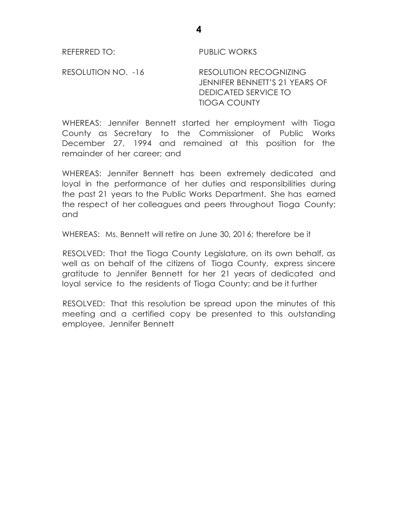REFERRED TO: PUBLIC WORKS

RESOLUTION NO. -16 RESOLUTION RECOGNIZING JENNIFER BENNETT'S 21 YEARS OF DEDICATED SERVICE TO TIOGA COUNTY

WHEREAS: Jennifer Bennett started her employment with Tioga County as Secretary to the Commissioner of Public Works December 27, 1994 and remained at this position for the remainder of her career; and

WHEREAS: Jennifer Bennett has been extremely dedicated and loyal in the performance of her duties and responsibilities during the past 21 years to the Public Works Department. She has earned the respect of her colleagues and peers throughout Tioga County; and

WHEREAS: Ms. Bennett will retire on June 30, 2016; therefore be it

RESOLVED: That the Tioga County Legislature, on its own behalf, as well as on behalf of the citizens of Tioga County, express sincere gratitude to Jennifer Bennett for her 21 years of dedicated and loyal service to the residents of Tioga County; and be it further

RESOLVED: That this resolution be spread upon the minutes of this meeting and a certified copy be presented to this outstanding employee, Jennifer Bennett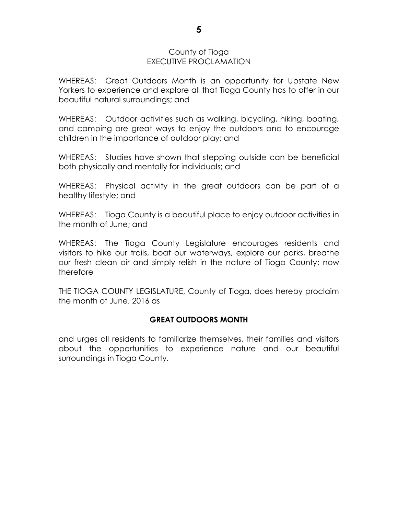#### County of Tioga EXECUTIVE PROCLAMATION

WHEREAS: Great Outdoors Month is an opportunity for Upstate New Yorkers to experience and explore all that Tioga County has to offer in our beautiful natural surroundings; and

WHEREAS: Outdoor activities such as walking, bicycling, hiking, boating, and camping are great ways to enjoy the outdoors and to encourage children in the importance of outdoor play; and

WHEREAS: Studies have shown that stepping outside can be beneficial both physically and mentally for individuals; and

WHEREAS: Physical activity in the great outdoors can be part of a healthy lifestyle; and

WHEREAS: Tioga County is a beautiful place to enjoy outdoor activities in the month of June; and

WHEREAS: The Tioga County Legislature encourages residents and visitors to hike our trails, boat our waterways, explore our parks, breathe our fresh clean air and simply relish in the nature of Tioga County; now therefore

THE TIOGA COUNTY LEGISLATURE, County of Tioga, does hereby proclaim the month of June, 2016 as

# **GREAT OUTDOORS MONTH**

and urges all residents to familiarize themselves, their families and visitors about the opportunities to experience nature and our beautiful surroundings in Tioga County.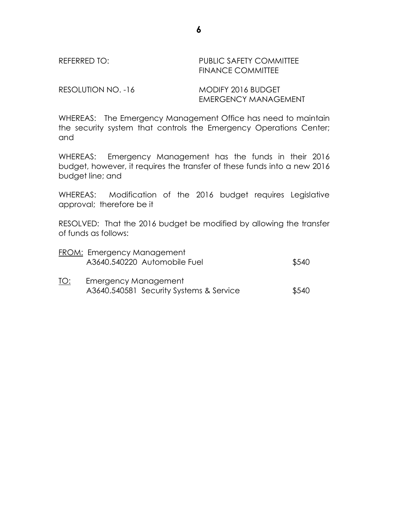REFERRED TO: PUBLIC SAFETY COMMITTEE FINANCE COMMITTEE

RESOLUTION NO. -16 MODIFY 2016 BUDGET

EMERGENCY MANAGEMENT

WHEREAS: The Emergency Management Office has need to maintain the security system that controls the Emergency Operations Center; and

WHEREAS: Emergency Management has the funds in their 2016 budget, however, it requires the transfer of these funds into a new 2016 budget line; and

WHEREAS: Modification of the 2016 budget requires Legislative approval; therefore be it

RESOLVED: That the 2016 budget be modified by allowing the transfer of funds as follows:

|     | <b>FROM: Emergency Management</b>       |       |
|-----|-----------------------------------------|-------|
|     | A3640.540220 Automobile Fuel            | \$540 |
| TO: | <b>Emergency Management</b>             |       |
|     | A3640.540581 Security Systems & Service | \$540 |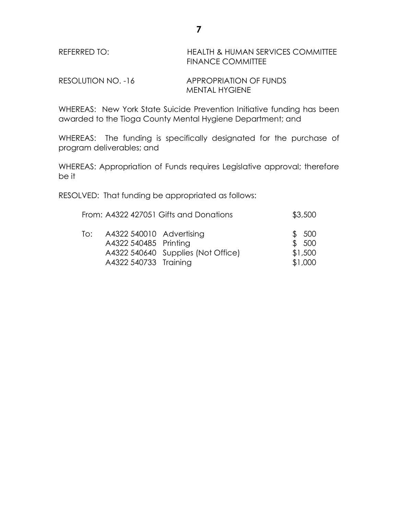| REFERRED TO: | HEALTH & HUMAN SERVICES COMMITTEE |
|--------------|-----------------------------------|
|              | <b>FINANCE COMMITTEE</b>          |
|              |                                   |

RESOLUTION NO. -16 APPROPRIATION OF FUNDS MENTAL HYGIENE

WHEREAS: New York State Suicide Prevention Initiative funding has been awarded to the Tioga County Mental Hygiene Department; and

WHEREAS: The funding is specifically designated for the purchase of program deliverables; and

WHEREAS: Appropriation of Funds requires Legislative approval; therefore be it

RESOLVED: That funding be appropriated as follows:

|     |                                                   | From: A4322 427051 Gifts and Donations | \$3,500        |
|-----|---------------------------------------------------|----------------------------------------|----------------|
| To: | A4322 540010 Advertising<br>A4322 540485 Printing |                                        | \$500<br>\$500 |
|     |                                                   | A4322 540640 Supplies (Not Office)     | \$1,500        |
|     | A4322 540733 Training                             |                                        | \$1,000        |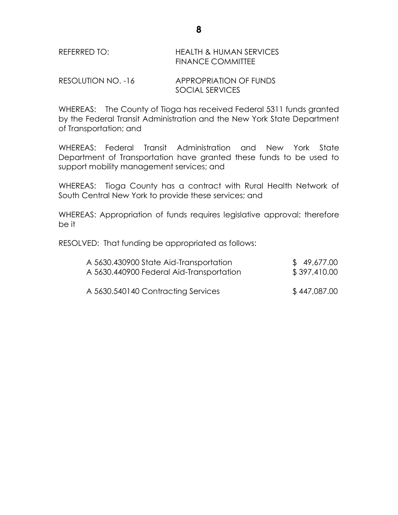# REFERRED TO: HEALTH & HUMAN SERVICES FINANCE COMMITTEE

RESOLUTION NO. -16 APPROPRIATION OF FUNDS SOCIAL SERVICES

WHEREAS: The County of Tioga has received Federal 5311 funds granted by the Federal Transit Administration and the New York State Department of Transportation; and

WHEREAS: Federal Transit Administration and New York State Department of Transportation have granted these funds to be used to support mobility management services; and

WHEREAS: Tioga County has a contract with Rural Health Network of South Central New York to provide these services; and

WHEREAS: Appropriation of funds requires legislative approval; therefore be it

RESOLVED: That funding be appropriated as follows:

| A 5630.430900 State Aid-Transportation   | \$49,677.00  |
|------------------------------------------|--------------|
| A 5630.440900 Federal Aid-Transportation | \$397,410.00 |
| A 5630.540140 Contracting Services       | \$447,087.00 |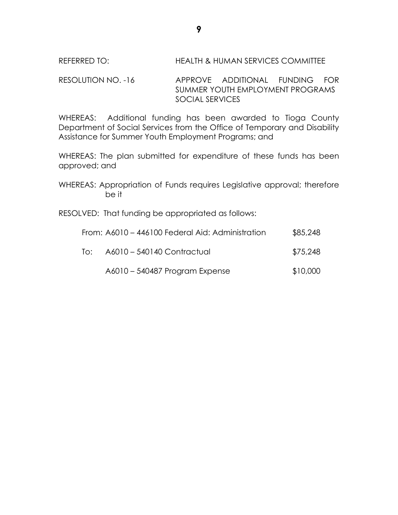RESOLUTION NO. -16 APPROVE ADDITIONAL FUNDING FOR SUMMER YOUTH EMPLOYMENT PROGRAMS SOCIAL SERVICES

WHEREAS: Additional funding has been awarded to Tioga County Department of Social Services from the Office of Temporary and Disability Assistance for Summer Youth Employment Programs; and

WHEREAS: The plan submitted for expenditure of these funds has been approved; and

WHEREAS: Appropriation of Funds requires Legislative approval; therefore be it

RESOLVED: That funding be appropriated as follows:

|     | From: A6010 - 446100 Federal Aid: Administration | \$85,248 |
|-----|--------------------------------------------------|----------|
| T∩∶ | A6010 - 540140 Contractual                       | \$75,248 |
|     | A6010 - 540487 Program Expense                   | \$10,000 |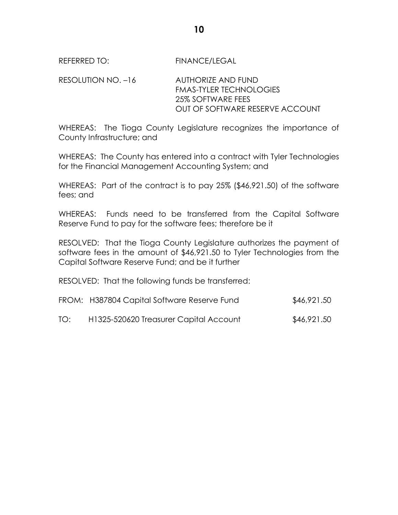REFERRED TO: FINANCE/LEGAL

RESOLUTION NO. –16 AUTHORIZE AND FUND FMAS-TYLER TECHNOLOGIES 25% SOFTWARE FEES OUT OF SOFTWARE RESERVE ACCOUNT

WHEREAS: The Tioga County Legislature recognizes the importance of County Infrastructure; and

WHEREAS: The County has entered into a contract with Tyler Technologies for the Financial Management Accounting System; and

WHEREAS: Part of the contract is to pay 25% (\$46,921.50) of the software fees; and

WHEREAS: Funds need to be transferred from the Capital Software Reserve Fund to pay for the software fees; therefore be it

RESOLVED: That the Tioga County Legislature authorizes the payment of software fees in the amount of \$46,921.50 to Tyler Technologies from the Capital Software Reserve Fund; and be it further

RESOLVED: That the following funds be transferred:

|     | FROM: H387804 Capital Software Reserve Fund | \$46,921.50 |
|-----|---------------------------------------------|-------------|
| TO: | H1325-520620 Treasurer Capital Account      | \$46,921.50 |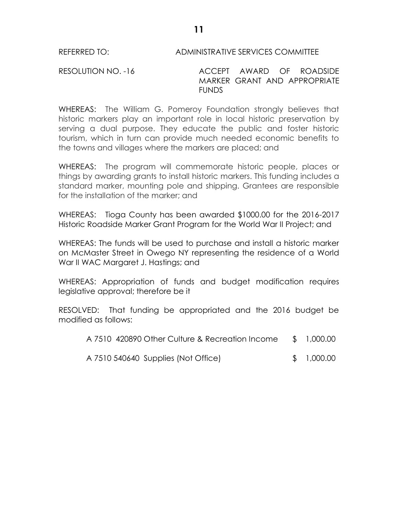#### REFERRED TO: ADMINISTRATIVE SERVICES COMMITTEE

RESOLUTION NO. -16 ACCEPT AWARD OF ROADSIDE MARKER GRANT AND APPROPRIATE FUNDS

WHEREAS: The William G. Pomeroy Foundation strongly believes that historic markers play an important role in local historic preservation by serving a dual purpose. They educate the public and foster historic tourism, which in turn can provide much needed economic benefits to the towns and villages where the markers are placed; and

WHEREAS: The program will commemorate historic people, places or things by awarding grants to install historic markers. This funding includes a standard marker, mounting pole and shipping. Grantees are responsible for the installation of the marker; and

WHEREAS: Tioga County has been awarded \$1000.00 for the 2016-2017 Historic Roadside Marker Grant Program for the World War II Project; and

WHEREAS: The funds will be used to purchase and install a historic marker on McMaster Street in Owego NY representing the residence of a World War II WAC Margaret J. Hastings; and

WHEREAS: Appropriation of funds and budget modification requires legislative approval; therefore be it

RESOLVED: That funding be appropriated and the 2016 budget be modified as follows:

| A 7510 420890 Other Culture & Recreation Income |  | \$1,000.00 |
|-------------------------------------------------|--|------------|
|-------------------------------------------------|--|------------|

| A 7510 540640 Supplies (Not Office) |  | \$1,000.00 |
|-------------------------------------|--|------------|
|-------------------------------------|--|------------|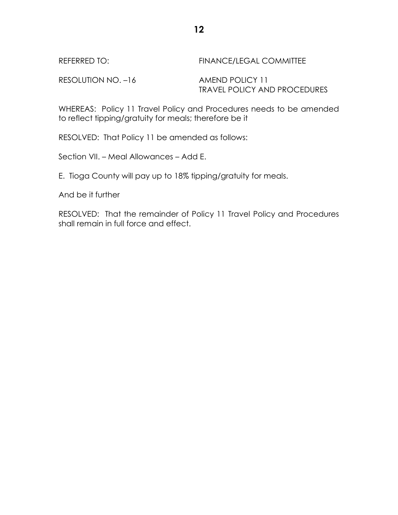| REFERRED TO:       | FINANCE/LEGAL COMMITTEE             |
|--------------------|-------------------------------------|
| RESOLUTION NO. -16 | AMEND POLICY 11                     |
|                    | <b>TRAVEL POLICY AND PROCEDURES</b> |

WHEREAS: Policy 11 Travel Policy and Procedures needs to be amended to reflect tipping/gratuity for meals; therefore be it

RESOLVED: That Policy 11 be amended as follows:

Section VII. – Meal Allowances – Add E.

E. Tioga County will pay up to 18% tipping/gratuity for meals.

And be it further

RESOLVED: That the remainder of Policy 11 Travel Policy and Procedures shall remain in full force and effect.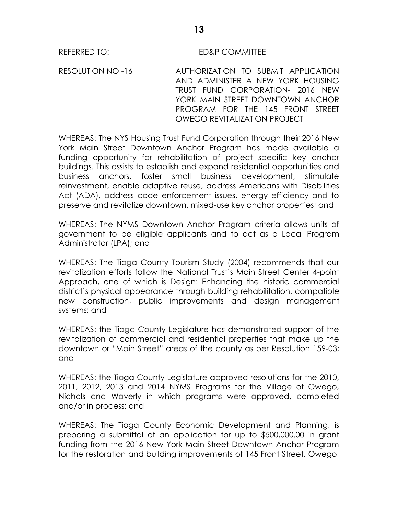#### REFERRED TO: ED&P COMMITTEE

RESOLUTION NO -16 AUTHORIZATION TO SUBMIT APPLICATION AND ADMINISTER A NEW YORK HOUSING TRUST FUND CORPORATION- 2016 NEW YORK MAIN STREET DOWNTOWN ANCHOR PROGRAM FOR THE 145 FRONT STREET OWEGO REVITALIZATION PROJECT

WHEREAS: The NYS Housing Trust Fund Corporation through their 2016 New York Main Street Downtown Anchor Program has made available a funding opportunity for rehabilitation of project specific key anchor buildings. This assists to establish and expand residential opportunities and business anchors, foster small business development, stimulate reinvestment, enable adaptive reuse, address Americans with Disabilities Act (ADA), address code enforcement issues, energy efficiency and to preserve and revitalize downtown, mixed-use key anchor properties; and

WHEREAS: The NYMS Downtown Anchor Program criteria allows units of government to be eligible applicants and to act as a Local Program Administrator (LPA); and

WHEREAS: The Tioga County Tourism Study (2004) recommends that our revitalization efforts follow the National Trust's Main Street Center 4-point Approach, one of which is Design: Enhancing the historic commercial district's physical appearance through building rehabilitation, compatible new construction, public improvements and design management systems; and

WHEREAS: the Tioga County Legislature has demonstrated support of the revitalization of commercial and residential properties that make up the downtown or "Main Street" areas of the county as per Resolution 159-03; and

WHEREAS: the Tioga County Legislature approved resolutions for the 2010, 2011, 2012, 2013 and 2014 NYMS Programs for the Village of Owego, Nichols and Waverly in which programs were approved, completed and/or in process; and

WHEREAS: The Tioga County Economic Development and Planning, is preparing a submittal of an application for up to \$500,000.00 in grant funding from the 2016 New York Main Street Downtown Anchor Program for the restoration and building improvements of 145 Front Street, Owego,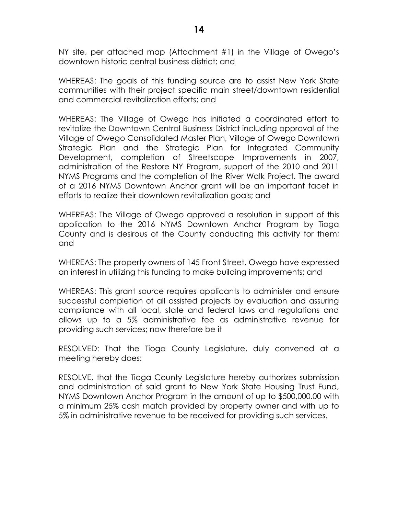NY site, per attached map (Attachment #1) in the Village of Owego's downtown historic central business district; and

WHEREAS: The goals of this funding source are to assist New York State communities with their project specific main street/downtown residential and commercial revitalization efforts; and

WHEREAS: The Village of Owego has initiated a coordinated effort to revitalize the Downtown Central Business District including approval of the Village of Owego Consolidated Master Plan, Village of Owego Downtown Strategic Plan and the Strategic Plan for Integrated Community Development, completion of Streetscape Improvements in 2007, administration of the Restore NY Program, support of the 2010 and 2011 NYMS Programs and the completion of the River Walk Project. The award of a 2016 NYMS Downtown Anchor grant will be an important facet in efforts to realize their downtown revitalization goals; and

WHEREAS: The Village of Owego approved a resolution in support of this application to the 2016 NYMS Downtown Anchor Program by Tioga County and is desirous of the County conducting this activity for them; and

WHEREAS: The property owners of 145 Front Street, Owego have expressed an interest in utilizing this funding to make building improvements; and

WHEREAS: This grant source requires applicants to administer and ensure successful completion of all assisted projects by evaluation and assuring compliance with all local, state and federal laws and regulations and allows up to a 5% administrative fee as administrative revenue for providing such services; now therefore be it

RESOLVED: That the Tioga County Legislature, duly convened at a meeting hereby does:

RESOLVE, that the Tioga County Legislature hereby authorizes submission and administration of said grant to New York State Housing Trust Fund, NYMS Downtown Anchor Program in the amount of up to \$500,000.00 with a minimum 25% cash match provided by property owner and with up to 5% in administrative revenue to be received for providing such services.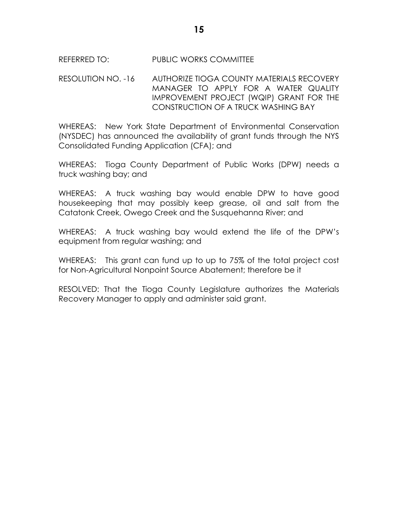## REFERRED TO: PUBLIC WORKS COMMITTEE

## RESOLUTION NO. -16 AUTHORIZE TIOGA COUNTY MATERIALS RECOVERY MANAGER TO APPLY FOR A WATER QUALITY IMPROVEMENT PROJECT (WQIP) GRANT FOR THE CONSTRUCTION OF A TRUCK WASHING BAY

WHEREAS: New York State Department of Environmental Conservation (NYSDEC) has announced the availability of grant funds through the NYS Consolidated Funding Application (CFA); and

WHEREAS: Tioga County Department of Public Works (DPW) needs a truck washing bay; and

WHEREAS: A truck washing bay would enable DPW to have good housekeeping that may possibly keep grease, oil and salt from the Catatonk Creek, Owego Creek and the Susquehanna River; and

WHEREAS: A truck washing bay would extend the life of the DPW's equipment from regular washing; and

WHEREAS: This grant can fund up to up to 75% of the total project cost for Non-Agricultural Nonpoint Source Abatement; therefore be it

RESOLVED: That the Tioga County Legislature authorizes the Materials Recovery Manager to apply and administer said grant.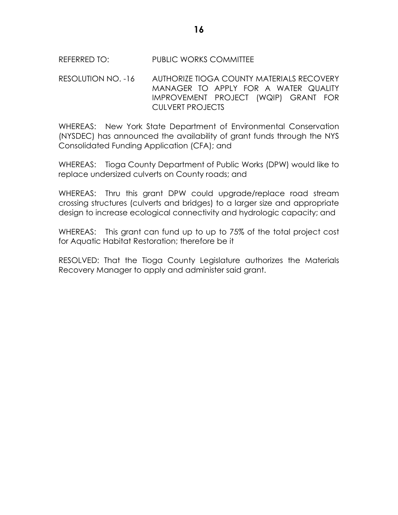# REFERRED TO: PUBLIC WORKS COMMITTEE

### RESOLUTION NO. -16 AUTHORIZE TIOGA COUNTY MATERIALS RECOVERY MANAGER TO APPLY FOR A WATER QUALITY IMPROVEMENT PROJECT (WQIP) GRANT FOR CULVERT PROJECTS

WHEREAS: New York State Department of Environmental Conservation (NYSDEC) has announced the availability of grant funds through the NYS Consolidated Funding Application (CFA); and

WHEREAS: Tioga County Department of Public Works (DPW) would like to replace undersized culverts on County roads; and

WHEREAS: Thru this grant DPW could upgrade/replace road stream crossing structures (culverts and bridges) to a larger size and appropriate design to increase ecological connectivity and hydrologic capacity; and

WHEREAS: This grant can fund up to up to 75% of the total project cost for Aquatic Habitat Restoration; therefore be it

RESOLVED: That the Tioga County Legislature authorizes the Materials Recovery Manager to apply and administer said grant.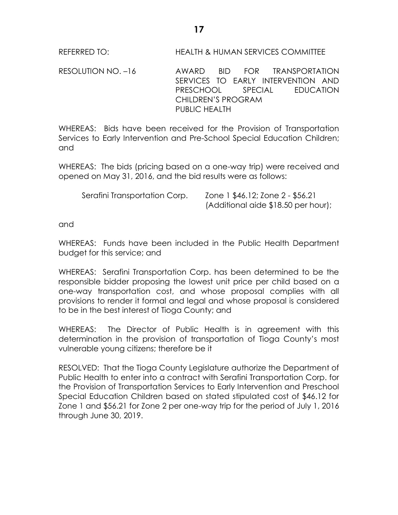REFERRED TO: HEALTH & HUMAN SERVICES COMMITTEE

RESOLUTION NO. –16 AWARD BID FOR TRANSPORTATION SERVICES TO EARLY INTERVENTION AND PRESCHOOL SPECIAL EDUCATION CHILDREN'S PROGRAM PUBLIC HEALTH

WHEREAS: Bids have been received for the Provision of Transportation Services to Early Intervention and Pre-School Special Education Children; and

WHEREAS: The bids (pricing based on a one-way trip) were received and opened on May 31, 2016, and the bid results were as follows:

Serafini Transportation Corp. Zone 1 \$46.12; Zone 2 - \$56.21 (Additional aide \$18.50 per hour);

and

WHEREAS: Funds have been included in the Public Health Department budget for this service; and

WHEREAS: Serafini Transportation Corp. has been determined to be the responsible bidder proposing the lowest unit price per child based on a one-way transportation cost, and whose proposal complies with all provisions to render it formal and legal and whose proposal is considered to be in the best interest of Tioga County; and

WHEREAS: The Director of Public Health is in agreement with this determination in the provision of transportation of Tioga County's most vulnerable young citizens; therefore be it

RESOLVED: That the Tioga County Legislature authorize the Department of Public Health to enter into a contract with Serafini Transportation Corp. for the Provision of Transportation Services to Early Intervention and Preschool Special Education Children based on stated stipulated cost of \$46.12 for Zone 1 and \$56.21 for Zone 2 per one-way trip for the period of July 1, 2016 through June 30, 2019.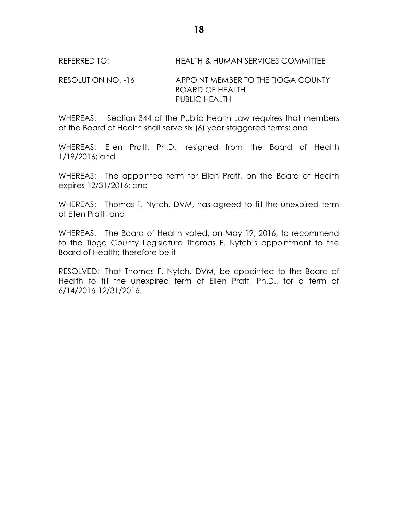# REFERRED TO: HEALTH & HUMAN SERVICES COMMITTEE

#### RESOLUTION NO. -16 APPOINT MEMBER TO THE TIOGA COUNTY BOARD OF HEALTH PUBLIC HEALTH

WHEREAS: Section 344 of the Public Health Law requires that members of the Board of Health shall serve six (6) year staggered terms; and

WHEREAS: Ellen Pratt, Ph.D., resigned from the Board of Health 1/19/2016; and

WHEREAS: The appointed term for Ellen Pratt, on the Board of Health expires 12/31/2016; and

WHEREAS: Thomas F. Nytch, DVM, has agreed to fill the unexpired term of Ellen Pratt; and

WHEREAS: The Board of Health voted, on May 19, 2016, to recommend to the Tioga County Legislature Thomas F. Nytch's appointment to the Board of Health; therefore be it

RESOLVED: That Thomas F. Nytch, DVM, be appointed to the Board of Health to fill the unexpired term of Ellen Pratt, Ph.D., for a term of 6/14/2016-12/31/2016.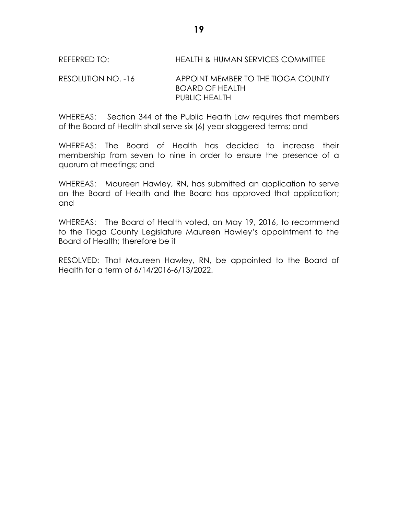# REFERRED TO: HEALTH & HUMAN SERVICES COMMITTEE

# RESOLUTION NO. -16 APPOINT MEMBER TO THE TIOGA COUNTY BOARD OF HEALTH PUBLIC HEALTH

WHEREAS: Section 344 of the Public Health Law requires that members of the Board of Health shall serve six (6) year staggered terms; and

WHEREAS: The Board of Health has decided to increase their membership from seven to nine in order to ensure the presence of a quorum at meetings; and

WHEREAS: Maureen Hawley, RN, has submitted an application to serve on the Board of Health and the Board has approved that application; and

WHEREAS: The Board of Health voted, on May 19, 2016, to recommend to the Tioga County Legislature Maureen Hawley's appointment to the Board of Health; therefore be it

RESOLVED: That Maureen Hawley, RN, be appointed to the Board of Health for a term of 6/14/2016-6/13/2022.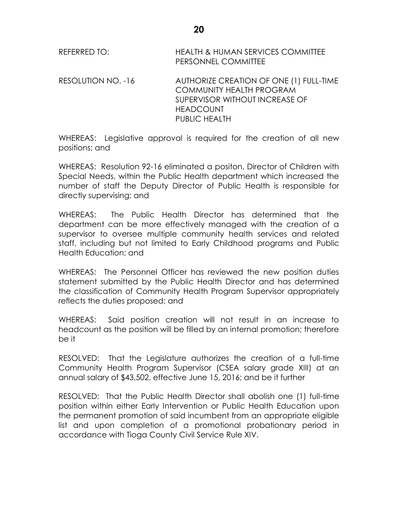| REFERRED TO: | <b>HEALTH &amp; HUMAN SERVICES COMMITTEE</b> |
|--------------|----------------------------------------------|
|              | <b>PERSONNEL COMMITTEE</b>                   |

RESOLUTION NO. -16 AUTHORIZE CREATION OF ONE (1) FULL-TIME COMMUNITY HEALTH PROGRAM SUPERVISOR WITHOUT INCREASE OF HEADCOUNT PUBLIC HEALTH

WHEREAS: Legislative approval is required for the creation of all new positions; and

WHEREAS: Resolution 92-16 eliminated a positon, Director of Children with Special Needs, within the Public Health department which increased the number of staff the Deputy Director of Public Health is responsible for directly supervising; and

WHEREAS: The Public Health Director has determined that the department can be more effectively managed with the creation of a supervisor to oversee multiple community health services and related staff, including but not limited to Early Childhood programs and Public Health Education; and

WHEREAS: The Personnel Officer has reviewed the new position duties statement submitted by the Public Health Director and has determined the classification of Community Health Program Supervisor appropriately reflects the duties proposed; and

WHEREAS: Said position creation will not result in an increase to headcount as the position will be filled by an internal promotion; therefore be it

RESOLVED: That the Legislature authorizes the creation of a full-time Community Health Program Supervisor (CSEA salary grade XIII) at an annual salary of \$43,502, effective June 15, 2016; and be it further

RESOLVED: That the Public Health Director shall abolish one (1) full-time position within either Early Intervention or Public Health Education upon the permanent promotion of said incumbent from an appropriate eligible list and upon completion of a promotional probationary period in accordance with Tioga County Civil Service Rule XIV.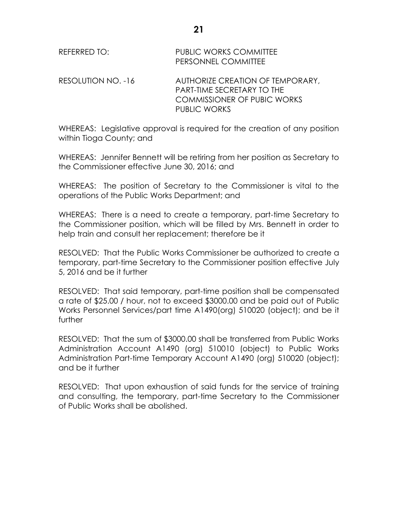| REFERRED TO:       | <b>PUBLIC WORKS COMMITTEE</b><br>PERSONNEL COMMITTEE                                                                        |
|--------------------|-----------------------------------------------------------------------------------------------------------------------------|
| RESOLUTION NO. -16 | AUTHORIZE CREATION OF TEMPORARY,<br><b>PART-TIME SECRETARY TO THE</b><br><b>COMMISSIONER OF PUBIC WORKS</b><br>PUBLIC WORKS |

WHEREAS: Legislative approval is required for the creation of any position within Tioga County; and

WHEREAS: Jennifer Bennett will be retiring from her position as Secretary to the Commissioner effective June 30, 2016; and

WHEREAS: The position of Secretary to the Commissioner is vital to the operations of the Public Works Department; and

WHEREAS: There is a need to create a temporary, part-time Secretary to the Commissioner position, which will be filled by Mrs. Bennett in order to help train and consult her replacement; therefore be it

RESOLVED: That the Public Works Commissioner be authorized to create a temporary, part-time Secretary to the Commissioner position effective July 5, 2016 and be it further

RESOLVED: That said temporary, part-time position shall be compensated a rate of \$25.00 / hour, not to exceed \$3000.00 and be paid out of Public Works Personnel Services/part time A1490(org) 510020 (object); and be it further

RESOLVED: That the sum of \$3000.00 shall be transferred from Public Works Administration Account A1490 (org) 510010 (object) to Public Works Administration Part-time Temporary Account A1490 (org) 510020 (object); and be it further

RESOLVED: That upon exhaustion of said funds for the service of training and consulting, the temporary, part-time Secretary to the Commissioner of Public Works shall be abolished.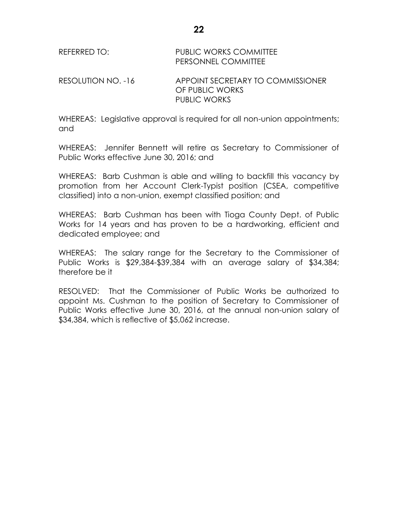RESOLUTION NO. -16 APPOINT SECRETARY TO COMMISSIONER OF PUBLIC WORKS PUBLIC WORKS

WHEREAS: Legislative approval is required for all non-union appointments; and

WHEREAS: Jennifer Bennett will retire as Secretary to Commissioner of Public Works effective June 30, 2016; and

WHEREAS: Barb Cushman is able and willing to backfill this vacancy by promotion from her Account Clerk-Typist position (CSEA, competitive classified) into a non-union, exempt classified position; and

WHEREAS: Barb Cushman has been with Tioga County Dept. of Public Works for 14 years and has proven to be a hardworking, efficient and dedicated employee; and

WHEREAS: The salary range for the Secretary to the Commissioner of Public Works is \$29,384-\$39,384 with an average salary of \$34,384; therefore be it

RESOLVED: That the Commissioner of Public Works be authorized to appoint Ms. Cushman to the position of Secretary to Commissioner of Public Works effective June 30, 2016, at the annual non-union salary of \$34,384, which is reflective of \$5,062 increase.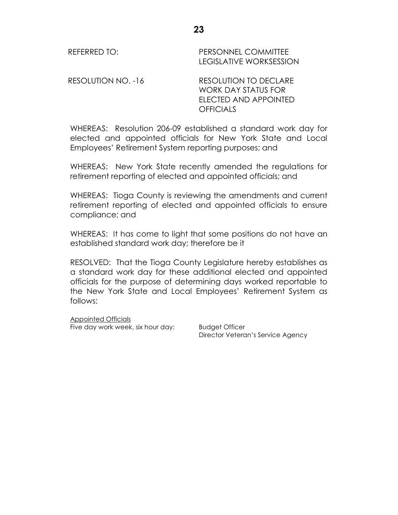REFERRED TO: PERSONNEL COMMITTEE LEGISLATIVE WORKSESSION RESOLUTION NO. -16 RESOLUTION TO DECLARE WORK DAY STATUS FOR ELECTED AND APPOINTED

WHEREAS: Resolution 206-09 established a standard work day for elected and appointed officials for New York State and Local Employees' Retirement System reporting purposes; and

**OFFICIALS** 

WHEREAS: New York State recently amended the regulations for retirement reporting of elected and appointed officials; and

WHEREAS: Tioga County is reviewing the amendments and current retirement reporting of elected and appointed officials to ensure compliance; and

WHEREAS: It has come to light that some positions do not have an established standard work day; therefore be it

RESOLVED: That the Tioga County Legislature hereby establishes as a standard work day for these additional elected and appointed officials for the purpose of determining days worked reportable to the New York State and Local Employees' Retirement System as follows:

Appointed Officials Five day work week, six hour day: Budget Officer

Director Veteran's Service Agency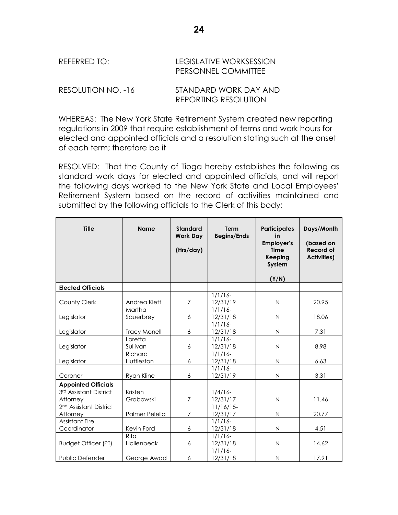| REFERRED TO:       | LEGISLATIVE WORKSESSION<br>PERSONNEL COMMITTEE |
|--------------------|------------------------------------------------|
| RESOLUTION NO. -16 | STANDARD WORK DAY AND                          |

WHEREAS: The New York State Retirement System created new reporting regulations in 2009 that require establishment of terms and work hours for elected and appointed officials and a resolution stating such at the onset of each term; therefore be it

REPORTING RESOLUTION

RESOLVED: That the County of Tioga hereby establishes the following as standard work days for elected and appointed officials, and will report the following days worked to the New York State and Local Employees' Retirement System based on the record of activities maintained and submitted by the following officials to the Clerk of this body;

| <b>Title</b>                                   | <b>Name</b>                    | <b>Standard</b><br><b>Work Day</b><br>(Hrs/day) | <b>Term</b><br><b>Begins/Ends</b>    | <b>Participates</b><br>in<br><b>Employer's</b><br><b>Time</b><br><b>Keeping</b><br>System<br>(Y/N) | Days/Month<br>(based on<br><b>Record of</b><br><b>Activities)</b> |
|------------------------------------------------|--------------------------------|-------------------------------------------------|--------------------------------------|----------------------------------------------------------------------------------------------------|-------------------------------------------------------------------|
| <b>Elected Officials</b>                       |                                |                                                 |                                      |                                                                                                    |                                                                   |
| County Clerk                                   | Andrea Klett                   | 7                                               | $1/1/16$ -<br>12/31/19               | $\mathsf{N}$                                                                                       | 20.95                                                             |
| Legislator                                     | Martha<br>Sauerbrey            | 6                                               | $1/1/16$ -<br>12/31/18               | $\mathsf{N}$                                                                                       | 18.06                                                             |
| Legislator                                     | <b>Tracy Monell</b><br>Loretta | 6                                               | $1/1/16$ -<br>12/31/18<br>$1/1/16$ - | $\mathsf{N}$                                                                                       | 7.31                                                              |
| Legislator                                     | Sullivan                       | 6                                               | 12/31/18                             | $\mathsf N$                                                                                        | 8.98                                                              |
| Legislator                                     | Richard<br>Huttleston          | 6                                               | $1/1/16$ -<br>12/31/18               | $\mathsf{N}$                                                                                       | 6.63                                                              |
| Coroner                                        | Ryan Kline                     | 6                                               | $1/1/16$ -<br>12/31/19               | $\mathsf{N}$                                                                                       | 3.31                                                              |
| <b>Appointed Officials</b>                     |                                |                                                 |                                      |                                                                                                    |                                                                   |
| 3rd Assistant District<br>Attorney             | Kristen<br>Grabowski           | $\overline{7}$                                  | $1/4/16$ -<br>12/31/17               | $\mathsf{N}$                                                                                       | 11.46                                                             |
| 2 <sup>nd</sup> Assistant District<br>Attorney | Palmer Pelella                 | $\overline{7}$                                  | $11/16/15$ -<br>12/31/17             | $\mathsf{N}$                                                                                       | 20.77                                                             |
| <b>Assistant Fire</b><br>Coordinator           | Kevin Ford                     | 6                                               | $1/1/16$ -<br>12/31/18               | $\mathsf{N}$                                                                                       | 4.51                                                              |
| <b>Budget Officer (PT)</b>                     | Rita<br>Hollenbeck             | 6                                               | $1/1/16$ -<br>12/31/18               | $\mathsf{N}$                                                                                       | 14.62                                                             |
| Public Defender                                | George Awad                    | 6                                               | $1/1/16$ -<br>12/31/18               | $\mathsf{N}$                                                                                       | 17.91                                                             |